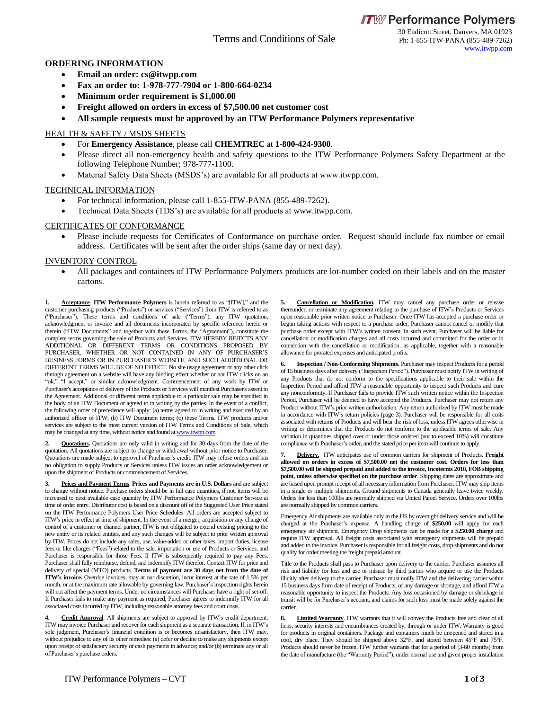## Terms and Conditions of Sale

# **TW Performance Polymers**

30 Endicott Street, Danvers, MA 01923 Ph: 1-855-ITW-PANA (855-489-7262) www.itwpp.com

#### **ORDERING INFORMATION**

- **Email an order: cs@itwpp.com**
- **Fax an order to: 1-978-777-7904 or 1-800-664-0234**
- **Minimum order requirement is \$1,000.00**
- **Freight allowed on orders in excess of \$7,500.00 net customer cost**
- **All sample requests must be approved by an ITW Performance Polymers representative**

#### HEALTH & SAFETY / MSDS SHEETS

- For **Emergency Assistance**, please call **CHEMTREC** at **1-800-424-9300**.
- Please direct all non-emergency health and safety questions to the ITW Performance Polymers Safety Department at the following Telephone Number; 978-777-1100.
- Material Safety Data Sheets (MSDS's) are available for all products at www.itwpp.com.

#### TECHNICAL INFORMATION

- For technical information, please call 1-855-ITW-PANA (855-489-7262).
- Technical Data Sheets (TDS's) are available for all products at www.itwpp.com.

#### CERTIFICATES OF CONFORMANCE

• Please include requests for Certificates of Conformance on purchase order. Request should include fax number or email address. Certificates will be sent after the order ships (same day or next day).

#### INVENTORY CONTROL

• All packages and containers of ITW Performance Polymers products are lot-number coded on their labels and on the master cartons.

**1. Acceptance**. **ITW Performance Polymers** is herein referred to as "[ITW]," and the customer purchasing products ("Products") or services ("Services") from ITW is referred to as ("Purchaser"). These terms and conditions of sale ("Terms"), any ITW quotation, acknowledgment or invoice and all documents incorporated by specific reference herein or therein ("ITW Documents" and together with these Terms, the "Agreement"), constitute the complete terms governing the sale of Products and Services. ITW HEREBY REJECTS ANY ADDITIONAL OR DIFFERENT TERMS OR CONDITIONS PROPOSED BY PURCHASER, WHETHER OR NOT CONTAINED IN ANY OF PURCHASER'S BUSINESS FORMS OR IN PURCHASER'S WEBSITE, AND SUCH ADDITIONAL OR DIFFERENT TERMS WILL BE OF NO EFFECT. No site usage agreement or any other click through agreement on a website will have any binding effect whether or not ITW clicks on an "ok," "I accept," or similar acknowledgment. Commencement of any work by ITW or Purchaser's acceptance of delivery of the Products or Services will manifest Purchaser's assent to the Agreement. Additional or different terms applicable to a particular sale may be specified in the body of an ITW Document or agreed to in writing by the parties. In the event of a conflict, the following order of precedence will apply: (a) terms agreed to in writing and executed by an authorized officer of ITW; (b) ITW Document terms; (c) these Terms. ITW products and/or services are subject to the most current version of ITW Terms and Conditions of Sale, which may be changed at any time, without notice and found at [www.itwpp.com](http://www.itwpp.com/)

**2. Quotations.** Quotations are only valid in writing and for 30 days from the date of the quotation. All quotations are subject to change or withdrawal without prior notice to Purchaser. Quotations are made subject to approval of Purchaser's credit. ITW may refuse orders and has no obligation to supply Products or Services unless ITW issues an order acknowledgement or upon the shipment of Products or commencement of Services.

**3. Prices and Payment Terms**. **Prices and Payments are in U.S. Dollars** and are subject to change without notice. Purchase orders should be in full case quantities, if not, items will be increased to next available case quantity by ITW Performance Polymers Customer Service at time of order entry. Distributor cost is based on a discount off of the Suggested User Price stated on the ITW Performance Polymers User Price Schedules. All orders are accepted subject to ITW's price in effect at time of shipment. In the event of a merger, acquisition or any change of control of a customer or channel partner, ITW is not obligated to extend existing pricing to the new entity or its related entities, and any such changes will be subject to prior written approval by ITW. Prices do not include any sales, use, value-added or other taxes, import duties, license fees or like charges ("Fees") related to the sale, importation or use of Products or Services, and Purchaser is responsible for those Fees. If ITW is subsequently required to pay any Fees, Purchaser shall fully reimburse, defend, and indemnify ITW therefor. Contact ITW for price and delivery of special (MTO) products. **Terms of payment are 30 days net from the date of ITW's invoice.** Overdue invoices, may at our discretion, incur interest at the rate of 1.5% per month, or at the maximum rate allowable by governing law. Purchaser's inspection rights herein will not affect the payment terms. Under no circumstances will Purchaser have a right of set-off. If Purchaser fails to make any payment as required, Purchaser agrees to indemnify ITW for all associated costs incurred by ITW, including reasonable attorney fees and court costs.

**4. Credit Approval**. All shipments are subject to approval by ITW's credit department. ITW may invoice Purchaser and recover for each shipment as a separate transaction. If, in ITW's sole judgment, Purchaser's financial condition is or becomes unsatisfactory, then ITW may, without prejudice to any of its other remedies: (a) defer or decline to make any shipments except upon receipt of satisfactory security or cash payments in advance; and/or (b) terminate any or all of Purchaser's purchase orders.

**5. Cancellation or Modification.** ITW may cancel any purchase order or release thereunder, or terminate any agreement relating to the purchase of ITW's Products or Services upon reasonable prior written notice to Purchaser. Once ITW has accepted a purchase order or begun taking actions with respect to a purchase order, Purchaser cannot cancel or modify that purchase order except with ITW's written consent. In such event, Purchaser will be liable for cancellation or modification charges and all costs incurred and committed for the order or in connection with the cancellation or modification, as applicable, together with a reasonable allowance for prorated expenses and anticipated profits.

**6. Inspection / Non-Conforming Shipments**. Purchaser may inspect Products for a period of 15 business days after delivery ("Inspection Period"). Purchaser must notify ITW in writing of any Products that do not conform to the specifications applicable to their sale within the Inspection Period and afford ITW a reasonable opportunity to inspect such Products and cure any nonconformity. If Purchaser fails to provide ITW such written notice within the Inspection Period, Purchaser will be deemed to have accepted the Products. Purchaser may not return any Product without ITW's prior written authorization. Any return authorized by ITW must be made in accordance with ITW's return policies (page 3). Purchaser will be responsible for all costs associated with returns of Products and will bear the risk of loss, unless ITW agrees otherwise in writing or determines that the Products do not conform to the applicable terms of sale. Any variation in quantities shipped over or under those ordered (not to exceed 10%) will constitute compliance with Purchaser's order, and the stated price per item will continue to apply.

**7. Delivery.** ITW anticipates use of common carriers for shipment of Products. **Freight allowed on orders in excess of \$7,500.00 net the customer cost. Orders for less than \$7,500.00 will be shipped prepaid and added to the invoice, Incoterms 2010, FOB shipping point, unless otherwise specified on the purchase order**. Shipping dates are approximate and are based upon prompt receipt of all necessary information from Purchaser. ITW may ship items in a single or multiple shipments. Ground shipments to Canada generally leave twice weekly. Orders for less than 100lbs are normally shipped via United Parcel Service. Orders over 100lbs are normally shipped by common carriers.

Emergency Air shipments are available only in the US by overnight delivery service and will be charged at the Purchaser's expense. A handling charge of **\$250.00** will apply for each emergency air shipment. Emergency Drop shipments can be made for a **\$250.00 charge** and require ITW approval. All freight costs associated with emergency shipments will be prepaid and added to the invoice. Purchaser is responsible for all freight costs, drop shipments and do not qualify for order meeting the freight prepaid amount.

Title to the Products shall pass to Purchaser upon delivery to the carrier. Purchaser assumes all risk and liability for loss and use or misuse by third parties who acquire or use the Products illicitly after delivery to the carrier. Purchaser must notify ITW and the delivering carrier within 15 business days from date of receipt of Products, of any damage or shortage, and afford ITW a reasonable opportunity to inspect the Products. Any loss occasioned by damage or shrinkage in transit will be for Purchaser's account, and claims for such loss must be made solely against the carrier.

8. **Limited Warranty**. ITW warrants that it will convey the Products free and clear of all liens, security interests and encumbrances created by, through or under ITW. Warranty is good for products in original containers. Package and containers much be unopened and stored in a cool, dry place. They should be shipped above 32°F, and stored between 45°F and 75°F. Products should never be frozen. ITW further warrants that for a period of [3-60 months] from the date of manufacture (the "Warranty Period"), under normal use and given proper installation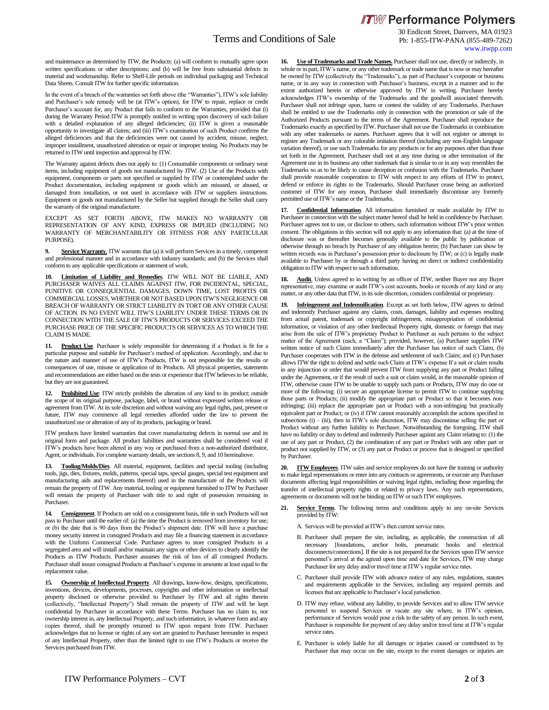### Terms and Conditions of Sale

and maintenance as determined by ITW, the Products: (a) will conform to mutually agree upon written specifications or other descriptions; and (b) will be free from substantial defects in material and workmanship. Refer to Shelf-Life periods on individual packaging and Technical Data Sheets. Consult ITW for further specific information.

In the event of a breach of the warranties set forth above (the "Warranties"), ITW's sole liability and Purchaser's sole remedy will be (at ITW's option), for ITW to repair, replace or credit Purchaser's account for, any Product that fails to conform to the Warranties, provided that (i) during the Warranty Period ITW is promptly notified in writing upon discovery of such failure with a detailed explanation of any alleged deficiencies; (ii) ITW is given a reasonable opportunity to investigate all claims; and (iii) ITW's examination of such Product confirms the alleged deficiencies and that the deficiencies were not caused by accident, misuse, neglect, improper installment, unauthorized alteration or repair or improper testing. No Products may be returned to ITW until inspection and approval by ITW.

The Warranty against defects does not apply to: (1) Consumable components or ordinary wear items, including equipment of goods not manufactured by ITW. (2) Use of the Products with equipment, components or parts not specified or supplied by ITW or contemplated under the Product documentation, including equipment or goods which are misused, or abused, or damaged from installation, or not used in accordance with ITW or suppliers instructions. Equipment or goods not manufactured by the Seller but supplied through the Seller shall carry the warranty of the original manufacturer.

EXCEPT AS SET FORTH ABOVE, ITW MAKES NO WARRANTY OR REPRESENTATION OF ANY KIND, EXPRESS OR IMPLIED (INCLUDING NO WARRANTY OF MERCHANTABILITY OR FITNESS FOR ANY PARTICULAR PURPOSE).

**9. Service Warranty**. ITW warrants that (a) it will perform Services in a timely, competent and professional manner and in accordance with industry standards; and (b) the Services shall conform to any applicable specifications or statement of work.

**10. Limitation of Liability and Remedies**. ITW WILL NOT BE LIABLE, AND PURCHASER WAIVES ALL CLAIMS AGAINST ITW, FOR INCIDENTAL, SPECIAL, PUNITIVE OR CONSEQUENTIAL DAMAGES, DOWN TIME, LOST PROFITS OR COMMERCIAL LOSSES, WHETHER OR NOT BASED UPON ITW'S NEGLIGENCE OR BREACH OF WARRANTY OR STRICT LIABILITY IN TORT OR ANY OTHER CAUSE OF ACTION. IN NO EVENT WILL ITW'S LIABILITY UNDER THESE TERMS OR IN CONNECTION WITH THE SALE OF ITW'S PRODUCTS OR SERVICES EXCEED THE PURCHASE PRICE OF THE SPECIFIC PRODUCTS OR SERVICES AS TO WHICH THE CLAIM IS MADE.

11. **Product Use**. Purchaser is solely responsible for determining if a Product is fit for a particular purpose and suitable for Purchaser's method of application. Accordingly, and due to the nature and manner of use of ITW's Products, ITW is not responsible for the results or consequences of use, misuse or application of its Products. All physical properties, statements and recommendations are either based on the tests or experience that ITW believes to be reliable, but they are not guaranteed.

**12. Prohibited Use**: ITW strictly prohibits the alteration of any kind to its product; outside the scope of its original purpose, package, label, or brand without expressed written release or agreement from ITW. At its sole discretion and without waiving any legal rights, past, present or future, ITW may commence all legal remedies afforded under the law to prevent the unauthorized use or alteration of any of its products, packaging or brand.

ITW products have limited warranties that cover manufacturing defects in normal use and its original form and package. All product liabilities and warranties shall be considered void if ITW's products have been altered in any way or purchased from a non-authorized distributor, Agent, or individuals. For complete warranty details, see sections 8, 9, and 10 hereinabove.

**13. Tooling/Molds/Dies**. All material, equipment, facilities and special tooling (including tools, jigs, dies, fixtures, molds, patterns, special taps, special gauges, special test equipment and manufacturing aids and replacements thereof) used in the manufacture of the Products will remain the property of ITW. Any material, tooling or equipment furnished to ITW by Purchaser will remain the property of Purchaser with title to and right of possession remaining in Purchaser.

14. **Consignment**. If Products are sold on a consignment basis, title in such Products will not pass to Purchaser until the earlier of: (a) the time the Product is removed from inventory for use; or (b) the date that is 90 days from the Product's shipment date. ITW will have a purchase money security interest in consigned Products and may file a financing statement in accordance with the Uniform Commercial Code. Purchaser agrees to store consigned Products in a segregated area and will install and/or maintain any signs or other devices to clearly identify the Products as ITW Products. Purchaser assumes the risk of loss of all consigned Products. Purchaser shall insure consigned Products at Purchaser's expense in amounts at least equal to the replacement value.

**15. Ownership of Intellectual Property**. All drawings, know-how, designs, specifications, inventions, devices, developments, processes, copyrights and other information or intellectual property disclosed or otherwise provided to Purchaser by ITW and all rights therein (collectively, "Intellectual Property") Shall remain the property of ITW and will be kept confidential by Purchaser in accordance with these Terms. Purchaser has no claim to, nor ownership interest in, any Intellectual Property, and such information, in whatever form and any copies thereof, shall be promptly returned to ITW upon request from ITW. Purchaser acknowledges that no license or rights of any sort are granted to Purchaser hereunder in respect of any Intellectual Property, other than the limited right to use ITW's Products or receive the Services purchased from ITW.

#### 30 Endicott Street, Danvers, MA 01923 Ph: 1-855-ITW-PANA (855-489-7262) www.itwpp.com

**TW Performance Polymers** 

**16. Use of Trademarks and Trade Names.** Purchaser shall not use, directly or indirectly, in whole or in part, ITW's name, or any other trademark or trade name that is now or may hereafter be owned by ITW (collectively the "Trademarks"), as part of Purchaser's corporate or business name, or in any way in connection with Purchaser's business, except in a manner and to the extent authorized herein or otherwise approved by ITW in writing. Purchaser hereby acknowledges ITW's ownership of the Trademarks and the goodwill associated therewith. Purchaser shall not infringe upon, harm or contest the validity of any Trademarks. Purchaser shall be entitled to use the Trademarks only in connection with the promotion or sale of the Authorized Products pursuant to the terms of the Agreement. Purchaser shall reproduce the Trademarks exactly as specified by ITW. Purchaser shall not use the Trademarks in combination with any other trademarks or names. Purchaser agrees that it will not register or attempt to register any Trademark or any colorable imitation thereof (including any non-English language variation thereof), or use such Trademarks for any products or for any purposes other than those set forth in the Agreement. Purchaser shall not at any time during or after termination of the Agreement use in its business any other trademark that is similar to or in any way resembles the Trademarks so as to be likely to cause deception or confusion with the Trademarks. Purchaser shall provide reasonable cooperation to ITW with respect to any efforts of ITW to protect, defend or enforce its rights to the Trademarks. Should Purchaser cease being an authorized customer of ITW for any reason, Purchaser shall immediately discontinue any formerly permitted use of ITW's name or the Trademarks.

**17. Confidential Information**. All information furnished or made available by ITW to Purchaser in connection with the subject matter hereof shall be held in confidence by Purchaser. Purchaser agrees not to use, or disclose to others, such information without ITW's prior written consent. The obligations in this section will not apply to any information that: (a) at the time of disclosure was or thereafter becomes generally available to the public by publication or otherwise through no breach by Purchaser of any obligation herein; (b) Purchaser can show by written records was in Purchaser's possession prior to disclosure by ITW; or (c) is legally made available to Purchaser by or through a third party having no direct or indirect confidentiality obligation to ITW with respect to such information.

Audit. Unless agreed to in writing by an officer of ITW, neither Buyer nor any Buyer representative, may examine or audit ITW's cost accounts, books or records of any kind or any matter, or any other data that ITW, in its sole discretion, considers confidential or proprietary.

**19. Infringement and Indemnification**. Except as set forth below, ITW agrees to defend and indemnify Purchaser against any claims, costs, damages, liability and expenses resulting from actual patent, trademark or copyright infringement, misappropriation of confidential information, or violation of any other Intellectual Property right, domestic or foreign that may arise from the sale of ITW's proprietary Product to Purchaser as such pertains to the subject matter of the Agreement (each, a "Claim"); provided, however, (a) Purchaser supplies ITW written notice of such Claim immediately after the Purchaser has notice of such Claim, (b) Purchaser cooperates with ITW in the defense and settlement of such Claim; and (c) Purchaser allows ITW the right to defend and settle such Claim at ITW's expense If a suit or claim results in any injunction or order that would prevent ITW from supplying any part or Product falling under the Agreement, or if the result of such a suit or claim would, in the reasonable opinion of ITW, otherwise cause ITW to be unable to supply such parts or Products, ITW may do one or more of the following: (i) secure an appropriate license to permit ITW to continue supplying those parts or Products; (ii) modify the appropriate part or Product so that it becomes noninfringing; (iii) replace the appropriate part or Product with a non-infringing but practically equivalent part or Product; or (iv) if ITW cannot reasonably accomplish the actions specified in subsections  $(i)$  – (iii), then in ITW's sole discretion, ITW may discontinue selling the part or Product without any further liability to Purchaser. Notwithstanding the foregoing, ITW shall have no liability or duty to defend and indemnify Purchaser against any Claim relating to: (1) the use of any part or Product, (2) the combination of any part or Product with any other part or product not supplied by ITW, or (3) any part or Product or process that is designed or specified by Purchaser.

**20. ITW Employees**. ITW sales and service employees do not have the training or authority to make legal representations or enter into any contracts or agreements, or execute any Purchaser documents affecting legal responsibilities or waiving legal rights, including those regarding the transfer of intellectual property rights or related to privacy laws. Any such representations, agreements or documents will not be binding on ITW or such ITW employees.

**21. Service Terms**. The following terms and conditions apply to any on-site Services provided by ITW:

A. Services will be provided at ITW's then current service rates.

- B. Purchaser shall prepare the site, including, as applicable, the construction of all necessary [foundations, anchor bolts, pneumatic hooks and electrical disconnects/connections]. If the site is not prepared for the Services upon ITW service personnel's arrival at the agreed upon time and date for Services, ITW may charge Purchaser for any delay and/or travel time at ITW's regular service rates.
- C. Purchaser shall provide ITW with advance notice of any rules, regulations, statutes and requirements applicable to the Services, including any required permits and licenses that are applicable to Purchaser's local jurisdiction.
- D. ITW may refuse, without any liability, to provide Services and to allow ITW service personnel to suspend Services or vacate any site where, in ITW's opinion, performance of Services would pose a risk to the safety of any person. In such event, Purchaser is responsible for payment of any delay and/or travel time at ITW's regular service rates.
- E. Purchaser is solely liable for all damages or injuries caused or contributed to by Purchaser that may occur on the site, except to the extent damages or injuries are